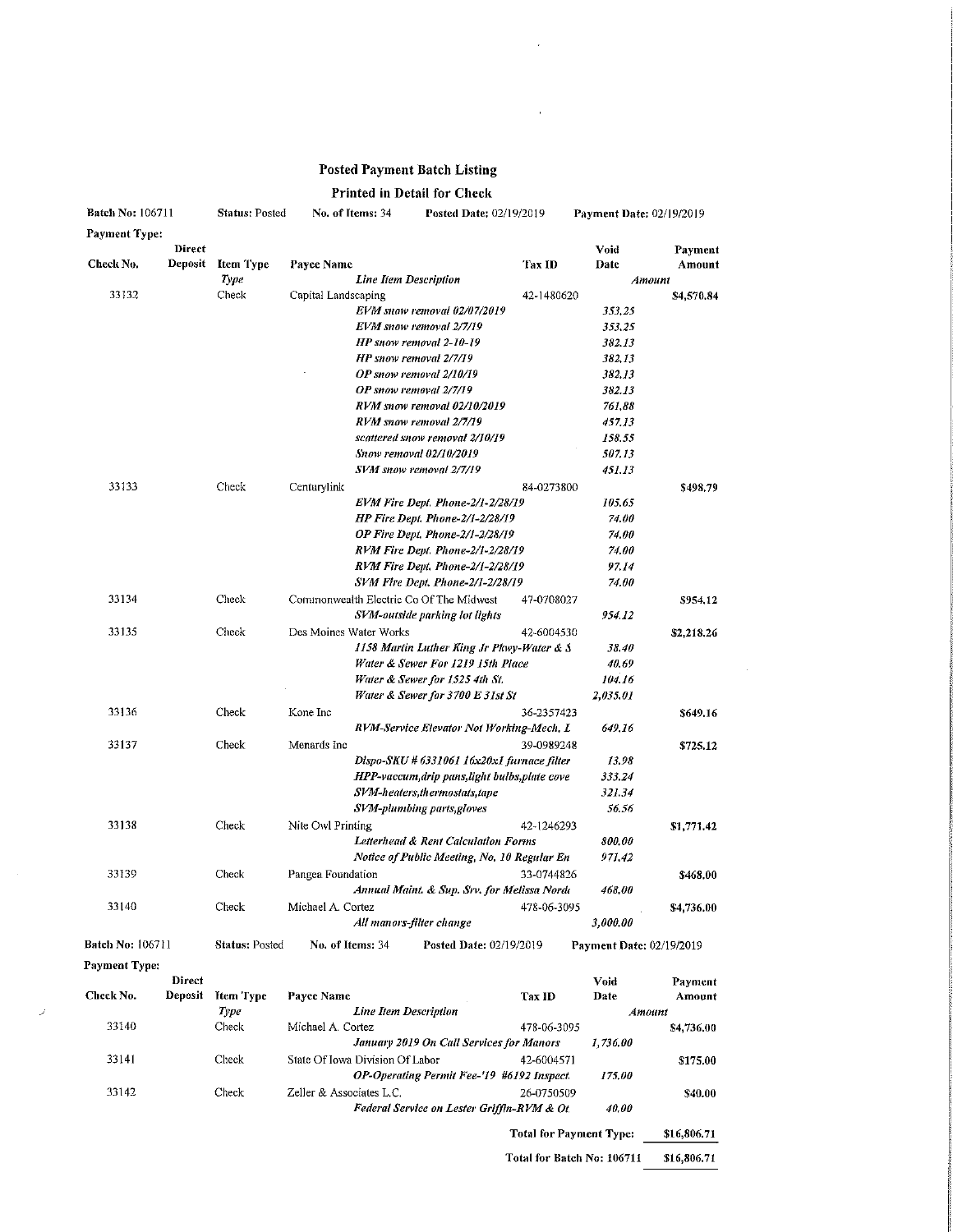## Posted Payment Batch Listing

## Printed in Detail for Check

| <b>Batch No: 106711</b> |               | <b>Status: Posted</b> | No. of Items: 34                           |  | Posted Date: 02/19/2019                        |             | Payment Date: 02/19/2019 |            |  |
|-------------------------|---------------|-----------------------|--------------------------------------------|--|------------------------------------------------|-------------|--------------------------|------------|--|
| <b>Payment Type:</b>    |               |                       |                                            |  |                                                |             |                          |            |  |
|                         | <b>Direct</b> |                       |                                            |  |                                                |             | Void                     | Payment    |  |
| Check No.               | Deposit       | <b>Item Type</b>      | Payee Name                                 |  |                                                | Tax ID      | Date                     | Amount     |  |
|                         |               | Type                  | <b>Line Item Description</b>               |  |                                                |             |                          | Amount     |  |
| 33132                   |               | Check                 | Capital Landscaping                        |  |                                                | 42-1480620  |                          | \$4,570.84 |  |
|                         |               |                       |                                            |  | EVM snow removal 02/07/2019                    |             | 353,25                   |            |  |
|                         |               |                       |                                            |  | EVM snow removal 2/7/19                        |             | 353,25                   |            |  |
|                         |               |                       |                                            |  | HP snow removal 2-10-19                        |             | 382.13                   |            |  |
|                         |               |                       |                                            |  | HP snow removal 2/7/19                         |             | 382,13                   |            |  |
|                         |               |                       |                                            |  | OP snow removal 2/10/19                        |             | 382.13                   |            |  |
|                         |               |                       |                                            |  | OP snow removal 2/7/19                         |             | 382.13                   |            |  |
|                         |               |                       |                                            |  | RVM snow removal 02/10/2019                    |             | 761,88                   |            |  |
|                         |               |                       |                                            |  | RVM snow removal 2/7/19                        |             | 457.13                   |            |  |
|                         |               |                       |                                            |  | scattered snow removal 2/10/19                 |             | 158.55                   |            |  |
|                         |               |                       |                                            |  | Snow removal 02/10/2019                        |             | <i>507.13</i>            |            |  |
|                         |               |                       |                                            |  | SVM snow removal 2/7/19                        |             | 451.13                   |            |  |
| 33133                   |               | Check                 | Centurylink                                |  |                                                | 84-0273800  |                          | \$498.79   |  |
|                         |               |                       |                                            |  | EVM Fire Dept. Phone-2/1-2/28/19               |             | 105.65                   |            |  |
|                         |               |                       |                                            |  | HP Fire Dept. Phone-2/1-2/28/19                |             | 74.00                    |            |  |
|                         |               |                       |                                            |  | OP Fire Dept. Phone-2/1-2/28/19                |             | $74.00\,$                |            |  |
|                         |               |                       |                                            |  | RVM Fire Dept. Phone-2/1-2/28/19               |             | 74.00                    |            |  |
|                         |               |                       |                                            |  | RVM Fire Dept. Phone-2/1-2/28/19               |             | 97.14                    |            |  |
|                         |               |                       |                                            |  | SVM Fire Dept. Phone-2/1-2/28/19               |             | 74.00                    |            |  |
| 33134                   |               | Check                 |                                            |  | Commonwealth Electric Co Of The Midwest        | 47-0708027  |                          | \$954.12   |  |
|                         |               |                       |                                            |  | SVM-outside parking lot lights                 |             | 954.12                   |            |  |
| 33135                   |               | Check                 | Des Moines Water Works                     |  |                                                | 42-6004530  |                          | \$2,218,26 |  |
|                         |               |                       | 1158 Martin Luther King Jr Plovy-Water & S |  |                                                |             | 38.40                    |            |  |
|                         |               |                       |                                            |  | Water & Sewer For 1219 15th Place              |             | 40,69                    |            |  |
|                         |               |                       |                                            |  | Water & Sewer for 1525 4th St.                 |             | 104.16                   |            |  |
|                         |               |                       |                                            |  | Water & Sewer for 3700 E 31st St               |             | 2,035.01                 |            |  |
| 33136                   |               | Check                 | Kone Inc                                   |  |                                                | 36-2357423  |                          | \$649.16   |  |
|                         |               |                       |                                            |  | RVM-Service Elevator Not Working-Mech, L       |             | 649.16                   |            |  |
| 33137                   |               | Check                 | Menards Inc                                |  |                                                | 39-0989248  |                          | \$725.12   |  |
|                         |               |                       |                                            |  | Dispo-SKU # 6331061 16x20x1 furnace filter     |             | 13.98                    |            |  |
|                         |               |                       |                                            |  | HPP-vaccum, drip pans, light bulbs, plate cove |             | 333.24                   |            |  |
|                         |               |                       |                                            |  | SVM-heaters, thermostats, tape                 |             | 321.34                   |            |  |
|                         |               |                       |                                            |  | SVM-plumbing parts, gloves                     |             | 56.56                    |            |  |
| 33138                   |               | Check                 | Nite Owl Printing                          |  |                                                | 42-1246293  |                          | \$1,771.42 |  |
|                         |               |                       |                                            |  | Letterhead & Rent Calculation Forms            |             | 800.00                   |            |  |
|                         |               |                       |                                            |  | Notice of Public Meeting, No. 10 Regular En    |             | 971.42                   |            |  |
| 33139                   |               | Check                 | Pangea Foundation                          |  |                                                | 33-0744826  |                          | \$468.00   |  |
|                         |               |                       |                                            |  | Annual Maint. & Sup. Srv. for Melissa Norde    |             | 468.00                   |            |  |
| 33140                   |               | Check                 | Michael A. Cortez                          |  |                                                | 478-06-3095 |                          |            |  |
|                         |               |                       |                                            |  | All manors-filter change                       |             | 3,000.00                 | \$4,736.00 |  |
|                         |               |                       |                                            |  |                                                |             |                          |            |  |
| <b>Batch No: 106711</b> |               | <b>Status: Posted</b> | No. of Items: 34                           |  | Posted Date: 02/19/2019                        |             | Payment Date: 02/19/2019 |            |  |

Payment Type;

|           | Direct         |           |                                            |             | Void          | Payment    |
|-----------|----------------|-----------|--------------------------------------------|-------------|---------------|------------|
| Check No. | <b>Deposit</b> | Item Type | Payee Name                                 | Tax ID      | Date          | Amount     |
|           | Type           |           | <b>Line Item Description</b>               |             | Amount        |            |
| 33140     | Check          |           | Michael A. Cortez                          | 478-06-3095 |               | \$4,736.00 |
|           |                | 1,736.00  |                                            |             |               |            |
| 33141     | Check          |           | State Of Iowa Division Of Labor            | 42-6004571  |               | \$175.00   |
|           |                |           | OP-Operating Permit Fee-'19 #6192 Inspect. |             | <i>175.00</i> |            |
| 33142     | Check          |           | Zeller & Associates L.C.                   | 26-0750509  |               | \$40.00    |
|           |                |           | Federal Service on Lester Griffin-RVM & Ot |             | 40.00         |            |
|           |                |           |                                            |             |               |            |

Total for Payment Type; \$16,806.71 Total for Batch No: 1U671I \$16,806.71  $\bar{z}$ 

 $\bar{\bar{z}}$ 

 $\sim$